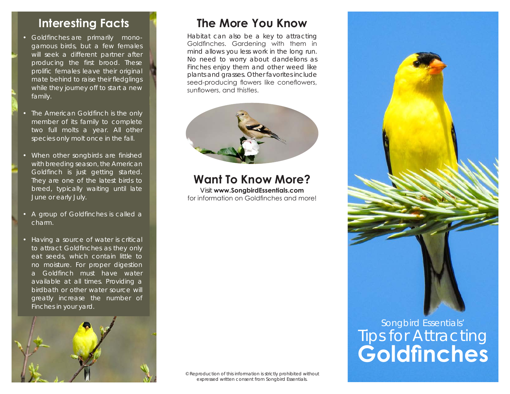- Goldfinches are primarily monogamous birds, but a few females will seek a different partner after producing the first brood. These prolific females leave their original mate behind to raise their fledglings while they journey off to start a new family.
- The American Goldfinch is the only member of its family to complete two full molts a year. All other species only molt once in the fall.
- When other songbirds are finished with breeding season, the American Goldfinch is just getting started. They are one of the latest birds to breed, typically waiting until late June or early July.
- A group of Goldfinches is called a charm.
- Having a source of water is critical to attract Goldfinches as they only eat seeds, which contain little to no moisture. For proper digestion a Goldfinch must have water available at all times. Providing a birdbath or other water source will greatly increase the number of Finches in your yard.



## **Interesting Facts The More You Know**

Habitat can also be a key to attracting Goldfinches. Gardening with them in mind allows you less work in the long run. No need to worry about dandelions as Finches enjoy them and other weed like plants and grasses. Other favorites include seed-producing flowers like coneflowers, sunflowers, and thistles.



## **Want To Know More?**

Visit **www.SongbirdEssentials.com** for information on Goldfinches and more!

© Reproduction of this information is strictly prohibited without expressed written consent from Songbird Essentials.



## **Goldfinches** Tips for Attracting Songbird Essentials'